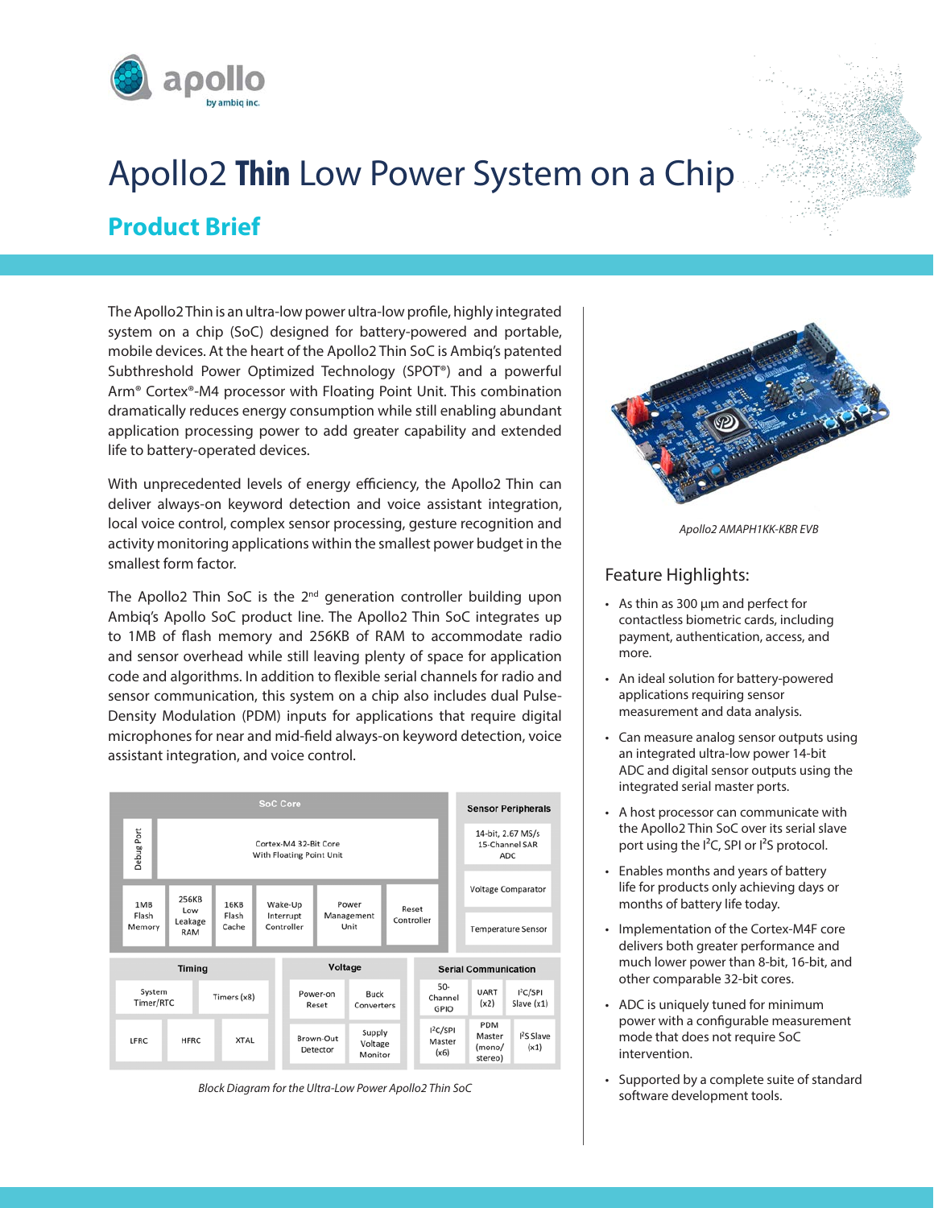

# Apollo2 **Thin** Low Power System on a Chip **Product Brief**

The Apollo2 Thin is an ultra-low power ultra-low profile, highly integrated system on a chip (SoC) designed for battery-powered and portable, mobile devices. At the heart of the Apollo2 Thin SoC is Ambiq's patented Subthreshold Power Optimized Technology (SPOT®) and a powerful Arm® Cortex®-M4 processor with Floating Point Unit. This combination dramatically reduces energy consumption while still enabling abundant application processing power to add greater capability and extended life to battery-operated devices.

With unprecedented levels of energy efficiency, the Apollo2 Thin can deliver always-on keyword detection and voice assistant integration, local voice control, complex sensor processing, gesture recognition and activity monitoring applications within the smallest power budget in the smallest form factor.

The Apollo2 Thin SoC is the 2<sup>nd</sup> generation controller building upon Ambiq's Apollo SoC product line. The Apollo2 Thin SoC integrates up to 1MB of flash memory and 256KB of RAM to accommodate radio and sensor overhead while still leaving plenty of space for application code and algorithms. In addition to flexible serial channels for radio and sensor communication, this system on a chip also includes dual Pulse-Density Modulation (PDM) inputs for applications that require digital microphones for near and mid-field always-on keyword detection, voice assistant integration, and voice control.



*Block Diagram for the Ultra-Low Power Apollo2 Thin SoC*



*Apollo2 AMAPH1KK-KBR EVB*

### Feature Highlights:

- As thin as 300 µm and perfect for contactless biometric cards, including payment, authentication, access, and more.
- An ideal solution for battery-powered applications requiring sensor measurement and data analysis.
- Can measure analog sensor outputs using an integrated ultra-low power 14-bit ADC and digital sensor outputs using the integrated serial master ports.
- A host processor can communicate with the Apollo2 Thin SoC over its serial slave port using the  $I^2C$ , SPI or  $I^2S$  protocol.
- Enables months and years of battery life for products only achieving days or months of battery life today.
- Implementation of the Cortex-M4F core delivers both greater performance and much lower power than 8-bit, 16-bit, and other comparable 32-bit cores.
- ADC is uniquely tuned for minimum power with a configurable measurement mode that does not require SoC intervention.
- Supported by a complete suite of standard software development tools.